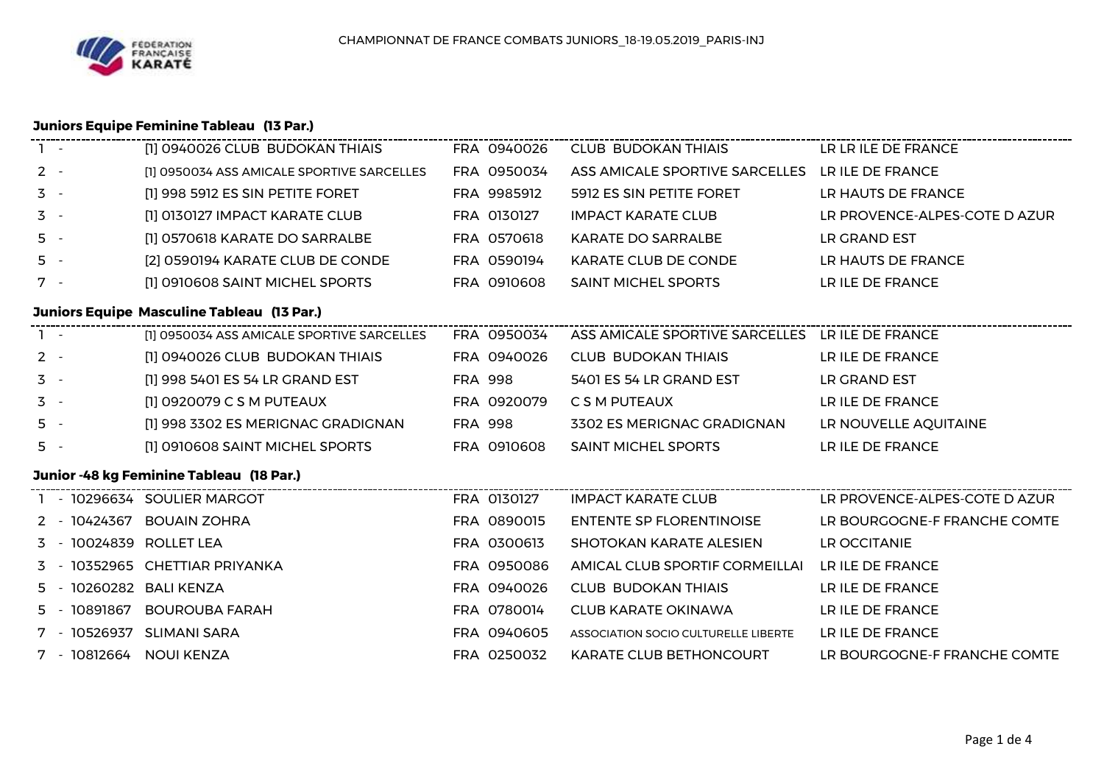

## **Juniors Equipe Feminine Tableau (13 Par.)**

|                                          | [1] 0940026 CLUB BUDOKAN THIAIS                                                                                   |                                                                                                                                                                                                                                                                                       |  | <b>CLUB BUDOKAN THIAIS</b>                                                                                                                                                                                                                                                                                                    | LR LR ILE DE FRANCE           |  |
|------------------------------------------|-------------------------------------------------------------------------------------------------------------------|---------------------------------------------------------------------------------------------------------------------------------------------------------------------------------------------------------------------------------------------------------------------------------------|--|-------------------------------------------------------------------------------------------------------------------------------------------------------------------------------------------------------------------------------------------------------------------------------------------------------------------------------|-------------------------------|--|
|                                          | [1] 0950034 ASS AMICALE SPORTIVE SARCELLES                                                                        |                                                                                                                                                                                                                                                                                       |  | ASS AMICALE SPORTIVE SARCELLES LR ILE DE FRANCE                                                                                                                                                                                                                                                                               |                               |  |
|                                          | [1] 998 5912 ES SIN PETITE FORET                                                                                  |                                                                                                                                                                                                                                                                                       |  | 5912 ES SIN PETITE FORET                                                                                                                                                                                                                                                                                                      | LR HAUTS DE FRANCE            |  |
|                                          | [1] 0130127 IMPACT KARATE CLUB                                                                                    |                                                                                                                                                                                                                                                                                       |  | <b>IMPACT KARATE CLUB</b>                                                                                                                                                                                                                                                                                                     | LR PROVENCE-ALPES-COTE D AZUR |  |
|                                          | [1] 0570618 KARATE DO SARRALBE                                                                                    |                                                                                                                                                                                                                                                                                       |  | KARATE DO SARRALBE                                                                                                                                                                                                                                                                                                            | LR GRAND EST                  |  |
|                                          | [2] 0590194 KARATE CLUB DE CONDE                                                                                  |                                                                                                                                                                                                                                                                                       |  | KARATE CLUB DE CONDE                                                                                                                                                                                                                                                                                                          | LR HAUTS DE FRANCE            |  |
|                                          | [1] 0910608 SAINT MICHEL SPORTS                                                                                   |                                                                                                                                                                                                                                                                                       |  | <b>SAINT MICHEL SPORTS</b>                                                                                                                                                                                                                                                                                                    | LR ILE DE FRANCE              |  |
|                                          |                                                                                                                   |                                                                                                                                                                                                                                                                                       |  |                                                                                                                                                                                                                                                                                                                               |                               |  |
|                                          | [1] 0950034 ASS AMICALE SPORTIVE SARCELLES                                                                        |                                                                                                                                                                                                                                                                                       |  | ASS AMICALE SPORTIVE SARCELLES LR ILE DE FRANCE                                                                                                                                                                                                                                                                               |                               |  |
|                                          | [1] 0940026 CLUB BUDOKAN THIAIS                                                                                   |                                                                                                                                                                                                                                                                                       |  | <b>CLUB BUDOKAN THIAIS</b>                                                                                                                                                                                                                                                                                                    | LR ILE DE FRANCE              |  |
|                                          | [1] 998 5401 ES 54 LR GRAND EST                                                                                   |                                                                                                                                                                                                                                                                                       |  | 5401 ES 54 LR GRAND EST                                                                                                                                                                                                                                                                                                       | LR GRAND EST                  |  |
|                                          | [1] 0920079 C S M PUTEAUX                                                                                         |                                                                                                                                                                                                                                                                                       |  | C S M PUTEAUX                                                                                                                                                                                                                                                                                                                 | LR ILE DE FRANCE              |  |
|                                          | [1] 998 3302 ES MERIGNAC GRADIGNAN                                                                                |                                                                                                                                                                                                                                                                                       |  | 3302 ES MERIGNAC GRADIGNAN                                                                                                                                                                                                                                                                                                    | LR NOUVELLE AQUITAINE         |  |
|                                          | [1] 0910608 SAINT MICHEL SPORTS                                                                                   |                                                                                                                                                                                                                                                                                       |  | <b>SAINT MICHEL SPORTS</b>                                                                                                                                                                                                                                                                                                    | LR ILE DE FRANCE              |  |
| Junior -48 kg Feminine Tableau (18 Par.) |                                                                                                                   |                                                                                                                                                                                                                                                                                       |  |                                                                                                                                                                                                                                                                                                                               |                               |  |
|                                          |                                                                                                                   |                                                                                                                                                                                                                                                                                       |  | <b>IMPACT KARATE CLUB</b>                                                                                                                                                                                                                                                                                                     | LR PROVENCE-ALPES-COTE D AZUR |  |
|                                          |                                                                                                                   |                                                                                                                                                                                                                                                                                       |  | <b>ENTENTE SP FLORENTINOISE</b>                                                                                                                                                                                                                                                                                               | LR BOURGOGNE-F FRANCHE COMTE  |  |
|                                          |                                                                                                                   |                                                                                                                                                                                                                                                                                       |  | <b>SHOTOKAN KARATE ALESIEN</b>                                                                                                                                                                                                                                                                                                | LR OCCITANIE                  |  |
|                                          |                                                                                                                   |                                                                                                                                                                                                                                                                                       |  | AMICAL CLUB SPORTIF CORMEILLAI                                                                                                                                                                                                                                                                                                | LR ILE DE FRANCE              |  |
|                                          |                                                                                                                   |                                                                                                                                                                                                                                                                                       |  | <b>CLUB BUDOKAN THIAIS</b>                                                                                                                                                                                                                                                                                                    | LR ILE DE FRANCE              |  |
|                                          |                                                                                                                   |                                                                                                                                                                                                                                                                                       |  | <b>CLUB KARATE OKINAWA</b>                                                                                                                                                                                                                                                                                                    | LR ILE DE FRANCE              |  |
|                                          |                                                                                                                   |                                                                                                                                                                                                                                                                                       |  | ASSOCIATION SOCIO CULTURELLE LIBERTE                                                                                                                                                                                                                                                                                          | LR ILE DE FRANCE              |  |
|                                          |                                                                                                                   |                                                                                                                                                                                                                                                                                       |  | KARATE CLUB BETHONCOURT                                                                                                                                                                                                                                                                                                       | LR BOURGOGNE-F FRANCHE COMTE  |  |
|                                          | $1 -$<br>$2 -$<br>$3 -$<br>$3 -$<br>$5 -$<br>$5 -$<br>$7 -$<br>$1 -$<br>$2 -$<br>$3 -$<br>$3 -$<br>$5 -$<br>$5 -$ | Juniors Equipe Masculine Tableau (13 Par.)<br>1 - 10296634 SOULIER MARGOT<br>2 - 10424367 BOUAIN ZOHRA<br>3 - 10024839 ROLLET LEA<br>3 - 10352965 CHETTIAR PRIYANKA<br>5 - 10260282 BALI KENZA<br>5 - 10891867 BOUROUBA FARAH<br>7 - 10526937 SLIMANI SARA<br>7 - 10812664 NOUI KENZA |  | FRA 0940026<br>FRA 0950034<br>FRA 9985912<br>FRA 0130127<br>FRA 0570618<br>FRA 0590194<br>FRA 0910608<br>FRA 0950034<br>FRA 0940026<br><b>FRA 998</b><br>FRA 0920079<br><b>FRA 998</b><br>FRA 0910608<br>FRA 0130127<br>FRA 0890015<br>FRA 0300613<br>FRA 0950086<br>FRA 0940026<br>FRA 0780014<br>FRA 0940605<br>FRA 0250032 | ---------------------------   |  |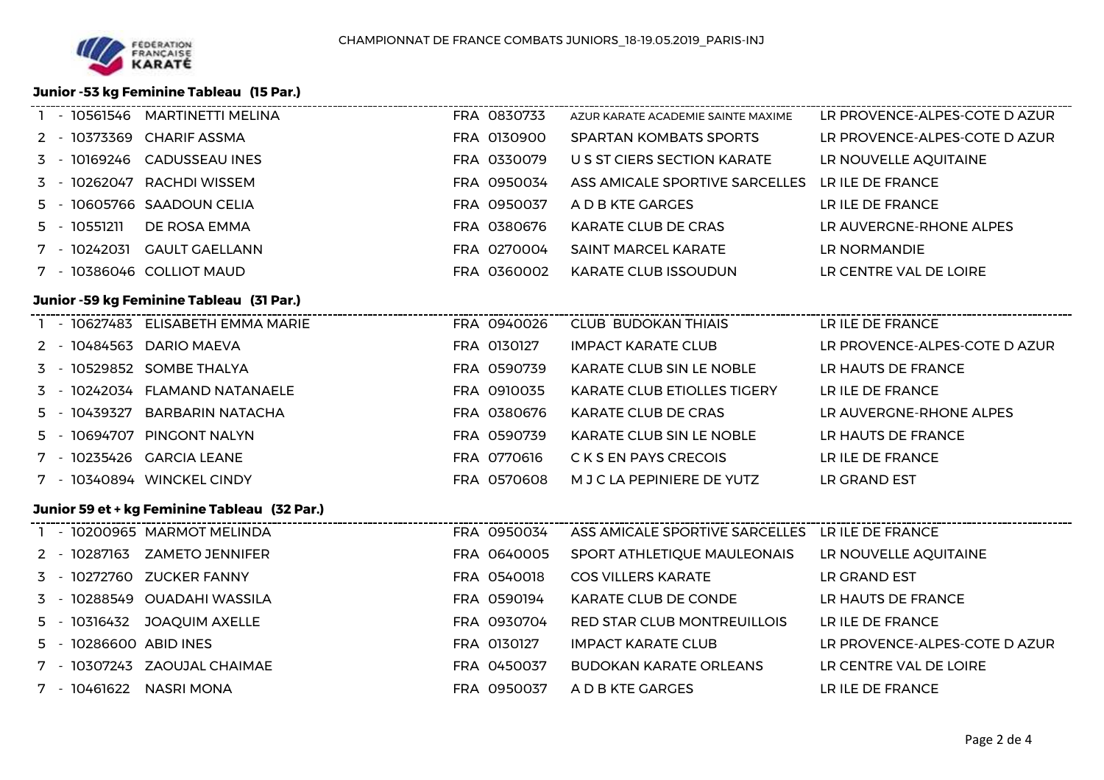

## **Junior -53 kg Feminine Tableau (15 Par.)**

|                         | 1 - 10561546 MARTINETTI MELINA               | FRA 0830733 | AZUR KARATE ACADEMIE SAINTE MAXIME                         | LR PROVENCE-ALPES-COTE D AZUR |
|-------------------------|----------------------------------------------|-------------|------------------------------------------------------------|-------------------------------|
|                         | 2 - 10373369 CHARIF ASSMA                    | FRA 0130900 | SPARTAN KOMBATS SPORTS                                     | LR PROVENCE-ALPES-COTE D AZUR |
|                         | 3 - 10169246 CADUSSEAU INES                  | FRA 0330079 | U S ST CIERS SECTION KARATE                                | LR NOUVELLE AQUITAINE         |
|                         | 3 - 10262047 RACHDI WISSEM                   | FRA 0950034 | ASS AMICALE SPORTIVE SARCELLES                             | LR ILE DE FRANCE              |
|                         | 5 - 10605766 SAADOUN CELIA                   | FRA 0950037 | A D B KTE GARGES                                           | LR ILE DE FRANCE              |
|                         | 5 - 10551211 DE ROSA EMMA                    | FRA 0380676 | KARATE CLUB DE CRAS                                        | LR AUVERGNE-RHONE ALPES       |
|                         | 7 - 10242031 GAULT GAELLANN                  | FRA 0270004 | SAINT MARCEL KARATE                                        | LR NORMANDIE                  |
|                         | 7 - 10386046 COLLIOT MAUD                    | FRA 0360002 | KARATE CLUB ISSOUDUN                                       | LR CENTRE VAL DE LOIRE        |
|                         | Junior -59 kg Feminine Tableau (31 Par.)     |             |                                                            |                               |
|                         | 1 - 10627483 ELISABETH EMMA MARIE            |             | FRA 0940026 CLUB BUDOKAN THIAIS                            | LR ILE DE FRANCE              |
|                         | 2 - 10484563 DARIO MAEVA                     | FRA 0130127 | <b>IMPACT KARATE CLUB</b>                                  | LR PROVENCE-ALPES-COTE D AZUR |
|                         | 3 - 10529852 SOMBE THALYA                    | FRA 0590739 | KARATE CLUB SIN LE NOBLE                                   | LR HAUTS DE FRANCE            |
|                         | 3 - 10242034 FLAMAND NATANAELE               | FRA 0910035 | KARATE CLUB ETIOLLES TIGERY                                | LR ILE DE FRANCE              |
|                         | 5 - 10439327 BARBARIN NATACHA                | FRA 0380676 | KARATE CLUB DE CRAS                                        | LR AUVERGNE-RHONE ALPES       |
|                         | 5 - 10694707 PINGONT NALYN                   | FRA 0590739 | KARATE CLUB SIN LE NOBLE                                   | LR HAUTS DE FRANCE            |
|                         | 7 - 10235426 GARCIA LEANE                    | FRA 0770616 | C K S EN PAYS CRECOIS                                      | LR ILE DE FRANCE              |
|                         | 7 - 10340894 WINCKEL CINDY                   | FRA 0570608 | M J C LA PEPINIERE DE YUTZ                                 | LR GRAND EST                  |
|                         | Junior 59 et + kg Feminine Tableau (32 Par.) |             |                                                            |                               |
|                         | 1 - 10200965 MARMOT MELINDA                  |             | FRA 0950034 ASS AMICALE SPORTIVE SARCELLES LRILE DE FRANCE |                               |
|                         | 2 - 10287163 ZAMETO JENNIFER                 | FRA 0640005 | SPORT ATHLETIQUE MAULEONAIS                                | LR NOUVELLE AQUITAINE         |
|                         | 3 - 10272760 ZUCKER FANNY                    | FRA 0540018 | <b>COS VILLERS KARATE</b>                                  | LR GRAND EST                  |
|                         | 3 - 10288549 OUADAHI WASSILA                 | FRA 0590194 | KARATE CLUB DE CONDE                                       | LR HAUTS DE FRANCE            |
|                         | 5 - 10316432 JOAQUIM AXELLE                  | FRA 0930704 | RED STAR CLUB MONTREUILLOIS                                | LR ILE DE FRANCE              |
| 5 - 10286600 ABID INES  |                                              | FRA 0130127 | IMPACT KARATE CLUB                                         | LR PROVENCE-ALPES-COTE D AZUR |
|                         | 7 - 10307243 ZAOUJAL CHAIMAE                 | FRA 0450037 | BUDOKAN KARATE ORLEANS                                     | LR CENTRE VAL DE LOIRE        |
| 7 - 10461622 NASRI MONA |                                              | FRA 0950037 | A D B KTE GARGES                                           | LR ILE DE FRANCE              |
|                         |                                              |             |                                                            |                               |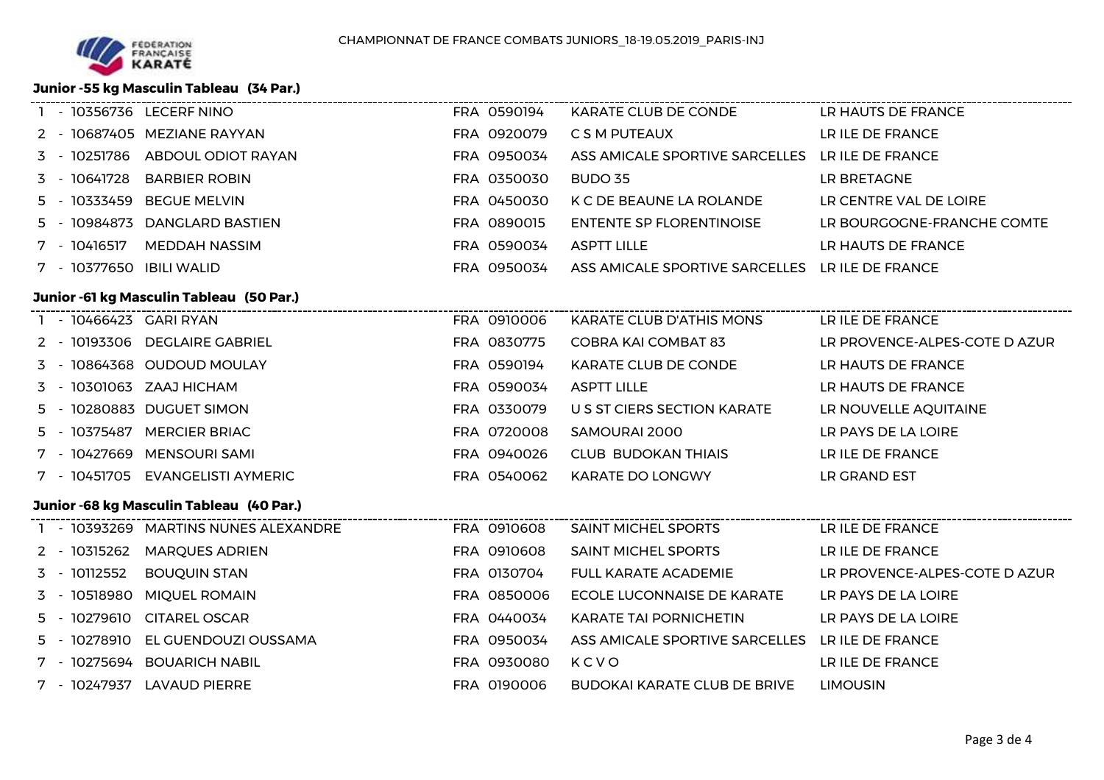

## **Junior -55 kg Masculin Tableau (34 Par.)**

|                          | - 10356736 LECERF NINO                   | FRA 0590194 | KARATE CLUB DE CONDE                           | LR HAUTS DE FRANCE            |
|--------------------------|------------------------------------------|-------------|------------------------------------------------|-------------------------------|
|                          | 2 - 10687405 MEZIANE RAYYAN              | FRA 0920079 | C S M PUTEAUX And A Service Services           | LR ILE DE FRANCE              |
|                          | 3 - 10251786 ABDOUL ODIOT RAYAN          | FRA 0950034 | ASS AMICALE SPORTIVE SARCELLES LRILE DE FRANCE |                               |
|                          | 3 - 10641728 BARBIER ROBIN               | FRA 0350030 | BUDO 35                                        | LR BRETAGNE                   |
|                          | 5 - 10333459 BEGUE MELVIN                | FRA 0450030 | K C DE BEAUNE LA ROLANDE                       | LR CENTRE VAL DE LOIRE        |
|                          | 5 - 10984873 DANGLARD BASTIEN            | FRA 0890015 | <b>ENTENTE SP FLORENTINOISE</b>                | LR BOURGOGNE-FRANCHE COMTE    |
| 7 - 10416517             | MEDDAH NASSIM                            | FRA 0590034 | <b>ASPTT LILLE</b>                             | LR HAUTS DE FRANCE            |
| 7 - 10377650 IBILI WALID |                                          | FRA 0950034 | ASS AMICALE SPORTIVE SARCELLES LRILE DE FRANCE |                               |
|                          |                                          |             |                                                |                               |
|                          | Junior -61 kg Masculin Tableau (50 Par.) |             |                                                |                               |
| 1 - 10466423 CARI RYAN   |                                          | FRA 0910006 | KARATE CLUB D'ATHIS MONS                       | LR ILE DE FRANCE              |
|                          | 2 - 10193306 DEGLAIRE GABRIEL            | FRA 0830775 | COBRA KAI COMBAT 83                            | LR PROVENCE-ALPES-COTE D AZUR |
|                          | 3 - 10864368 OUDOUD MOULAY               | FRA 0590194 | KARATE CLUB DE CONDE                           | LR HAUTS DE FRANCE            |
|                          | 3 - 10301063 ZAAJ HICHAM                 | FRA 0590034 | <b>ASPTT LILLE</b>                             | LR HAUTS DE FRANCE            |
|                          | 5 - 10280883 DUGUET SIMON                | FRA 0330079 | U S ST CIERS SECTION KARATE                    | LR NOUVELLE AQUITAINE         |
|                          | 5 - 10375487 MERCIER BRIAC               | FRA 0720008 | SAMOURAI 2000                                  | LR PAYS DE LA LOIRE           |
|                          | 7 - 10427669 MENSOURI SAMI               | FRA 0940026 | <b>CLUB BUDOKAN THIAIS</b>                     | LR ILE DE FRANCE              |
|                          | 7 - 10451705 EVANGELISTI AYMERIC         | FRA 0540062 | KARATE DO LONGWY                               | LR GRAND EST                  |

## **Junior -68 kg Masculin Tableau (40 Par.)**

|              | - 10393269 MARTINS NUNES ALEXANDRE | FRA 0910608 | <b>SAINT MICHEL SPORTS</b>     | LR ILE DE FRANCE              |
|--------------|------------------------------------|-------------|--------------------------------|-------------------------------|
| 2 - 10315262 | <b>MARQUES ADRIEN</b>              | FRA 0910608 | <b>SAINT MICHEL SPORTS</b>     | LR ILE DE FRANCE              |
| 3 - 10112552 | <b>BOUQUIN STAN</b>                | FRA 0130704 | FULL KARATE ACADEMIE           | LR PROVENCE-ALPES-COTE D AZUR |
| 3 - 10518980 | <b>MIQUEL ROMAIN</b>               | FRA 0850006 | ECOLE LUCONNAISE DE KARATE     | LR PAYS DE LA LOIRE           |
| 5 - 10279610 | CITAREL OSCAR                      | FRA 0440034 | KARATE TAI PORNICHETIN         | LR PAYS DE LA LOIRE           |
| 5 - 10278910 | EL GUENDOUZI OUSSAMA               | FRA 0950034 | ASS AMICALE SPORTIVE SARCELLES | LR ILE DE FRANCE              |
| 7 - 10275694 | <b>BOUARICH NABIL</b>              | FRA 0930080 | KCVO                           | LR ILE DE FRANCE              |
| 7 - 10247937 | LAVAUD PIERRE                      | FRA 0190006 | BUDOKAI KARATE CLUB DE BRIVE   | <b>LIMOUSIN</b>               |